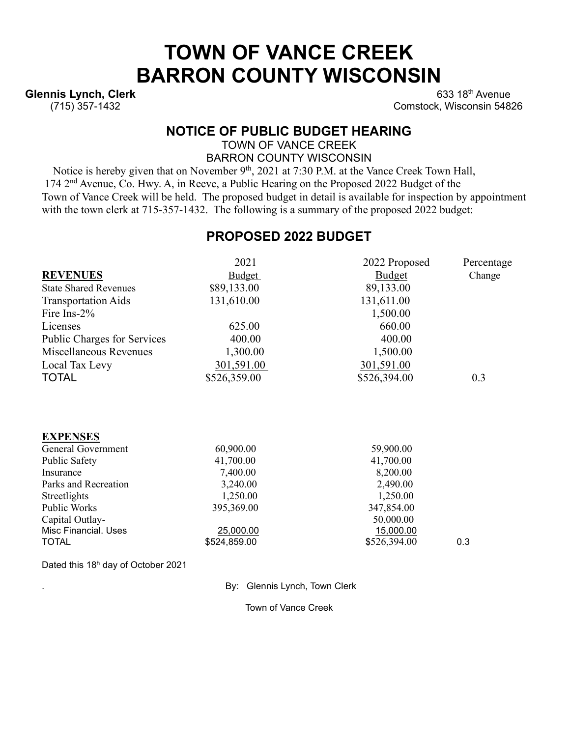# **TOWN OF VANCE CREEK BARRON COUNTY WISCONSIN**

**Glennis Lynch, Clerk** (715) 357-1432

 $633$  18<sup>th</sup> Avenue Comstock, Wisconsin 54826

#### **NOTICE OF PUBLIC BUDGET HEARING**

TOWN OF VANCE CREEK BARRON COUNTY WISCONSIN

Notice is hereby given that on November 9<sup>th</sup>, 2021 at 7:30 P.M. at the Vance Creek Town Hall, 174 2nd Avenue, Co. Hwy. A, in Reeve, a Public Hearing on the Proposed 2022 Budget of the Town of Vance Creek will be held. The proposed budget in detail is available for inspection by appointment with the town clerk at 715-357-1432. The following is a summary of the proposed 2022 budget:

### **PROPOSED 2022 BUDGET**

|                                    | 2021         | 2022 Proposed | Percentage |
|------------------------------------|--------------|---------------|------------|
| <b>REVENUES</b>                    | Budget       | <b>Budget</b> | Change     |
| <b>State Shared Revenues</b>       | \$89,133.00  | 89,133.00     |            |
| <b>Transportation Aids</b>         | 131,610.00   | 131,611.00    |            |
| Fire Ins-2%                        |              | 1,500.00      |            |
| Licenses                           | 625.00       | 660.00        |            |
| <b>Public Charges for Services</b> | 400.00       | 400.00        |            |
| Miscellaneous Revenues             | 1,300.00     | 1,500.00      |            |
| Local Tax Levy                     | 301,591.00   | 301,591.00    |            |
| <b>TOTAL</b>                       | \$526,359.00 | \$526,394.00  | 0.3        |
|                                    |              |               |            |
| <b>EXPENSES</b>                    |              |               |            |
| <b>General Government</b>          | 60,900.00    | 59,900.00     |            |
| Public Safety                      | 41,700.00    | 41,700.00     |            |
| Insurance                          | 7,400.00     | 8,200.00      |            |
| Parks and Recreation               | 3,240.00     | 2,490.00      |            |
| Streetlights                       | 1,250.00     | 1,250.00      |            |
| Public Works                       | 395,369.00   | 347,854.00    |            |
| Capital Outlay-                    |              | 50,000.00     |            |
| Misc Financial. Uses               | 25,000.00    | 15,000.00     |            |
| <b>TOTAL</b>                       | \$524,859.00 | \$526,394.00  | 0.3        |
|                                    |              |               |            |

Dated this 18h day of October 2021

. By: Glennis Lynch, Town Clerk

Town of Vance Creek